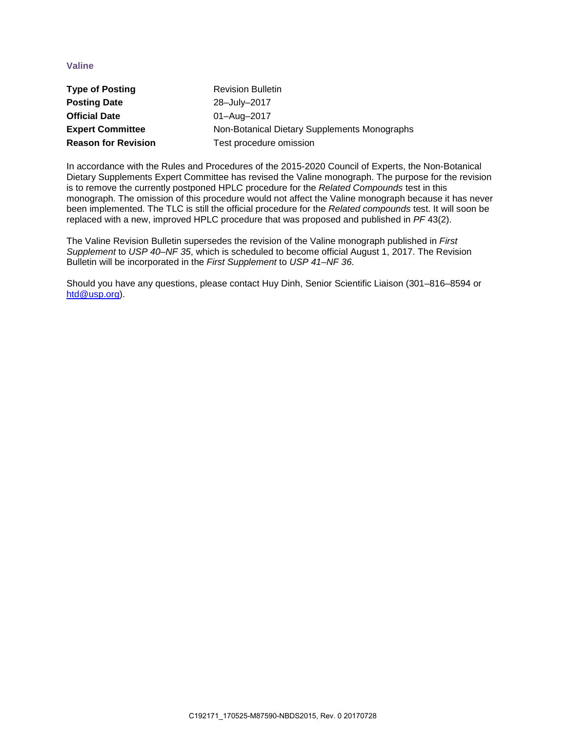## **Valine**

| <b>Type of Posting</b>     | <b>Revision Bulletin</b>                     |
|----------------------------|----------------------------------------------|
| <b>Posting Date</b>        | 28-July-2017                                 |
| <b>Official Date</b>       | 01-Aug-2017                                  |
| <b>Expert Committee</b>    | Non-Botanical Dietary Supplements Monographs |
| <b>Reason for Revision</b> | Test procedure omission                      |

In accordance with the Rules and Procedures of the 2015-2020 Council of Experts, the Non-Botanical Dietary Supplements Expert Committee has revised the Valine monograph. The purpose for the revision is to remove the currently postponed HPLC procedure for the *Related Compounds* test in this monograph. The omission of this procedure would not affect the Valine monograph because it has never been implemented. The TLC is still the official procedure for the *Related compounds* test. It will soon be replaced with a new, improved HPLC procedure that was proposed and published in *PF* 43(2).

The Valine Revision Bulletin supersedes the revision of the Valine monograph published in *First Supplement* to *USP 40–NF 35*, which is scheduled to become official August 1, 2017. The Revision Bulletin will be incorporated in the *First Supplement* to *USP 41–NF 36*.

Should you have any questions, please contact Huy Dinh, Senior Scientific Liaison (301–816–8594 or [htd@usp.org\)](mailto:htd@usp.org).